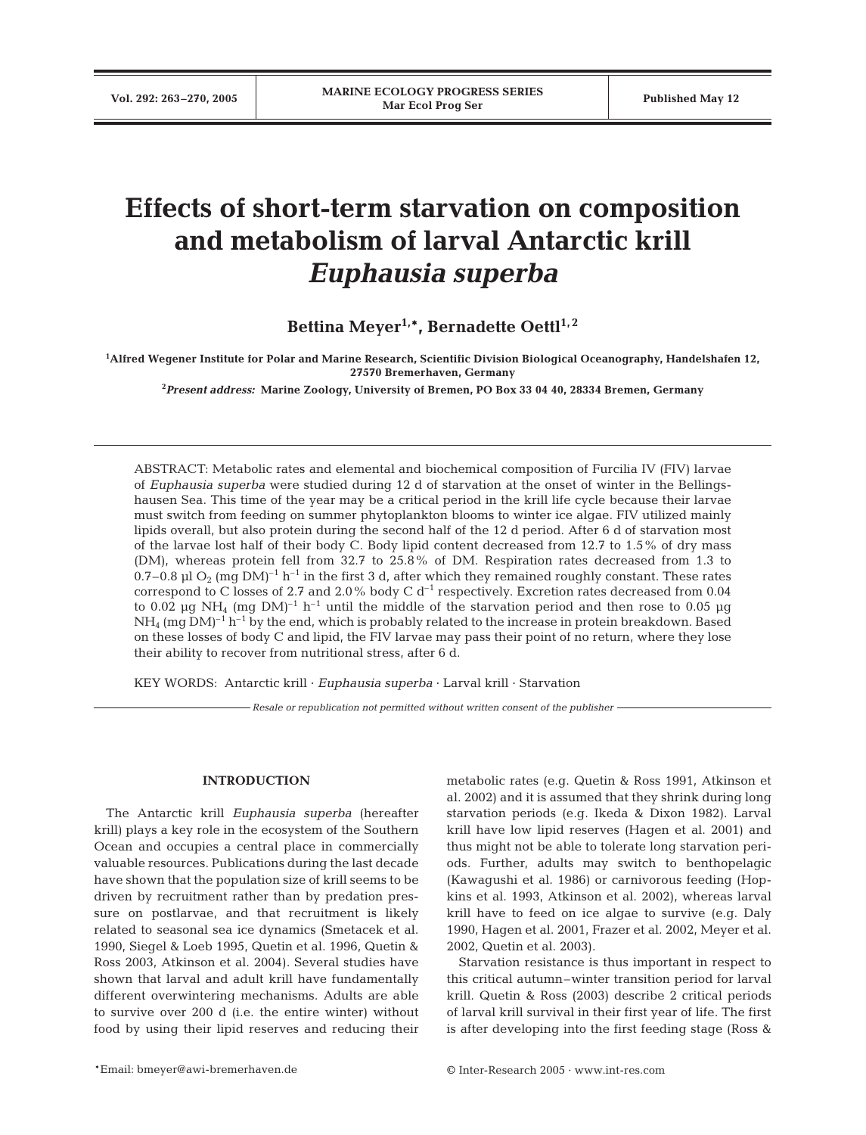# **Effects of short-term starvation on composition and metabolism of larval Antarctic krill** *Euphausia superba*

Bettina Meyer<sup>1,\*</sup>, Bernadette Oettl<sup>1,2</sup>

**1 Alfred Wegener Institute for Polar and Marine Research, Scientific Division Biological Oceanography, Handelshafen 12, 27570 Bremerhaven, Germany**

**2** *Present address:* **Marine Zoology, University of Bremen, PO Box 33 04 40, 28334 Bremen, Germany**

ABSTRACT: Metabolic rates and elemental and biochemical composition of Furcilia IV (FIV) larvae of *Euphausia superba* were studied during 12 d of starvation at the onset of winter in the Bellingshausen Sea. This time of the year may be a critical period in the krill life cycle because their larvae must switch from feeding on summer phytoplankton blooms to winter ice algae. FIV utilized mainly lipids overall, but also protein during the second half of the 12 d period. After 6 d of starvation most of the larvae lost half of their body C. Body lipid content decreased from 12.7 to 1.5% of dry mass (DM), whereas protein fell from 32.7 to 25.8% of DM. Respiration rates decreased from 1.3 to 0.7–0.8 µl O<sub>2</sub> (mg DM)<sup>-1</sup> h<sup>-1</sup> in the first 3 d, after which they remained roughly constant. These rates correspond to C losses of 2.7 and 2.0% body C  $d^{-1}$  respectively. Excretion rates decreased from 0.04 to 0.02 µg NH<sub>4</sub> (mg DM)<sup>-1</sup> h<sup>-1</sup> until the middle of the starvation period and then rose to 0.05 µg  $NH<sub>4</sub>$  (mg DM)<sup>-1</sup> h<sup>-1</sup> by the end, which is probably related to the increase in protein breakdown. Based on these losses of body C and lipid, the FIV larvae may pass their point of no return, where they lose their ability to recover from nutritional stress, after 6 d.

KEY WORDS: Antarctic krill · *Euphausia superba* · Larval krill · Starvation

*Resale or republication not permitted without written consent of the publisher*

# **INTRODUCTION**

The Antarctic krill *Euphausia superba* (hereafter krill) plays a key role in the ecosystem of the Southern Ocean and occupies a central place in commercially valuable resources. Publications during the last decade have shown that the population size of krill seems to be driven by recruitment rather than by predation pressure on postlarvae, and that recruitment is likely related to seasonal sea ice dynamics (Smetacek et al. 1990, Siegel & Loeb 1995, Quetin et al. 1996, Quetin & Ross 2003, Atkinson et al. 2004). Several studies have shown that larval and adult krill have fundamentally different overwintering mechanisms. Adults are able to survive over 200 d (i.e. the entire winter) without food by using their lipid reserves and reducing their metabolic rates (e.g. Quetin & Ross 1991, Atkinson et al. 2002) and it is assumed that they shrink during long starvation periods (e.g. Ikeda & Dixon 1982). Larval krill have low lipid reserves (Hagen et al. 2001) and thus might not be able to tolerate long starvation periods. Further, adults may switch to benthopelagic (Kawagushi et al. 1986) or carnivorous feeding (Hopkins et al. 1993, Atkinson et al. 2002), whereas larval krill have to feed on ice algae to survive (e.g. Daly 1990, Hagen et al. 2001, Frazer et al. 2002, Meyer et al. 2002, Quetin et al. 2003).

Starvation resistance is thus important in respect to this critical autumn–winter transition period for larval krill. Quetin & Ross (2003) describe 2 critical periods of larval krill survival in their first year of life. The first is after developing into the first feeding stage (Ross &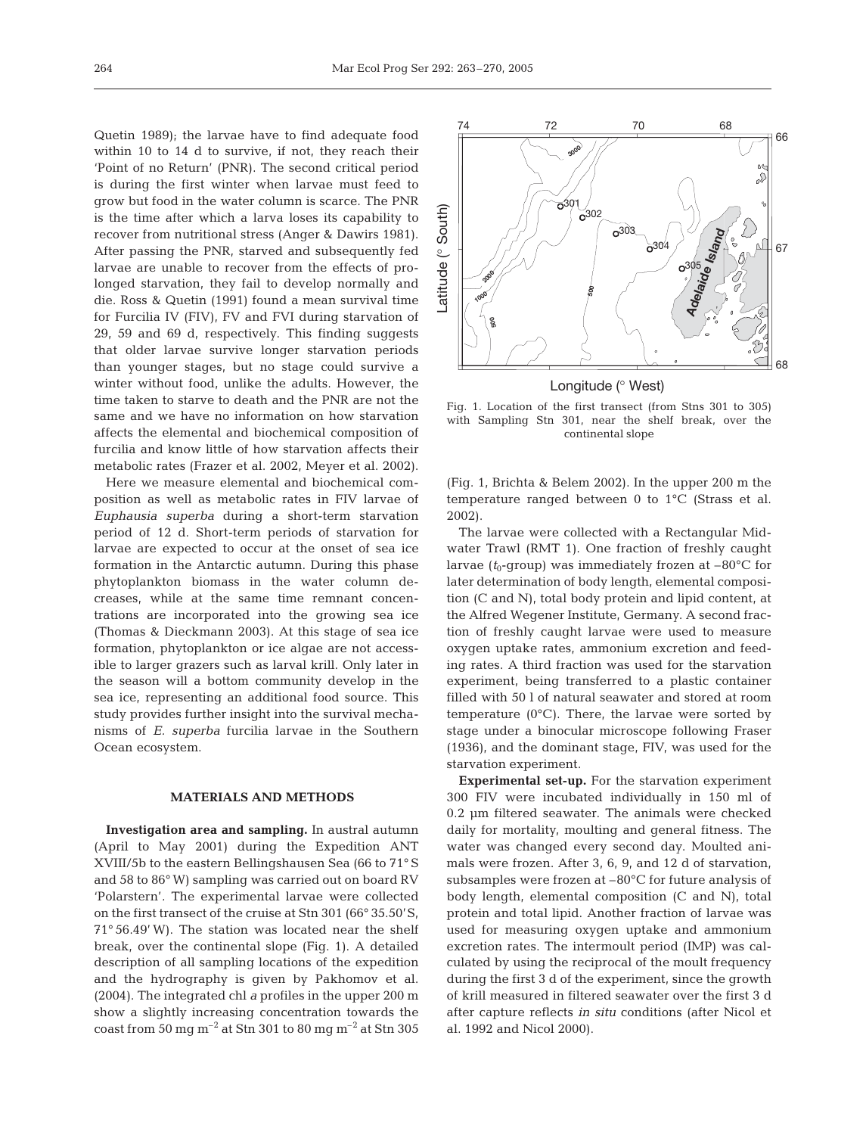Quetin 1989); the larvae have to find adequate food within 10 to 14 d to survive, if not, they reach their 'Point of no Return' (PNR). The second critical period is during the first winter when larvae must feed to grow but food in the water column is scarce. The PNR is the time after which a larva loses its capability to recover from nutritional stress (Anger & Dawirs 1981). After passing the PNR, starved and subsequently fed larvae are unable to recover from the effects of prolonged starvation, they fail to develop normally and die. Ross & Quetin (1991) found a mean survival time for Furcilia IV (FIV), FV and FVI during starvation of 29, 59 and 69 d, respectively. This finding suggests that older larvae survive longer starvation periods than younger stages, but no stage could survive a winter without food, unlike the adults. However, the time taken to starve to death and the PNR are not the same and we have no information on how starvation affects the elemental and biochemical composition of furcilia and know little of how starvation affects their metabolic rates (Frazer et al. 2002, Meyer et al. 2002).

Here we measure elemental and biochemical composition as well as metabolic rates in FIV larvae of *Euphausia superba* during a short-term starvation period of 12 d. Short-term periods of starvation for larvae are expected to occur at the onset of sea ice formation in the Antarctic autumn. During this phase phytoplankton biomass in the water column decreases, while at the same time remnant concentrations are incorporated into the growing sea ice (Thomas & Dieckmann 2003). At this stage of sea ice formation, phytoplankton or ice algae are not accessible to larger grazers such as larval krill. Only later in the season will a bottom community develop in the sea ice, representing an additional food source. This study provides further insight into the survival mechanisms of *E. superba* furcilia larvae in the Southern Ocean ecosystem.

## **MATERIALS AND METHODS**

**Investigation area and sampling.** In austral autumn (April to May 2001) during the Expedition ANT XVIII/5b to the eastern Bellingshausen Sea (66 to 71° S and 58 to 86° W) sampling was carried out on board RV 'Polarstern'*.* The experimental larvae were collected on the first transect of the cruise at Stn 301 (66° 35.50'S, 71° 56.49' W). The station was located near the shelf break, over the continental slope (Fig. 1). A detailed description of all sampling locations of the expedition and the hydrography is given by Pakhomov et al. (2004). The integrated chl *a* profiles in the upper 200 m show a slightly increasing concentration towards the coast from 50 mg m<sup>-2</sup> at Stn 301 to 80 mg m<sup>-2</sup> at Stn 305



Longitude (° West)

Fig. 1. Location of the first transect (from Stns 301 to 305) with Sampling Stn 301, near the shelf break, over the continental slope

(Fig. 1, Brichta & Belem 2002). In the upper 200 m the temperature ranged between 0 to 1°C (Strass et al. 2002).

The larvae were collected with a Rectangular Midwater Trawl (RMT 1). One fraction of freshly caught larvae  $(t_0$ -group) was immediately frozen at  $-80^{\circ}$ C for later determination of body length, elemental composition (C and N), total body protein and lipid content, at the Alfred Wegener Institute, Germany. A second fraction of freshly caught larvae were used to measure oxygen uptake rates, ammonium excretion and feeding rates. A third fraction was used for the starvation experiment, being transferred to a plastic container filled with 50 l of natural seawater and stored at room temperature  $(0^{\circ}C)$ . There, the larvae were sorted by stage under a binocular microscope following Fraser (1936), and the dominant stage, FIV, was used for the starvation experiment.

**Experimental set-up.** For the starvation experiment 300 FIV were incubated individually in 150 ml of 0.2 µm filtered seawater. The animals were checked daily for mortality, moulting and general fitness. The water was changed every second day. Moulted animals were frozen. After 3, 6, 9, and 12 d of starvation, subsamples were frozen at –80°C for future analysis of body length, elemental composition (C and N), total protein and total lipid. Another fraction of larvae was used for measuring oxygen uptake and ammonium excretion rates. The intermoult period (IMP) was calculated by using the reciprocal of the moult frequency during the first 3 d of the experiment, since the growth of krill measured in filtered seawater over the first 3 d after capture reflects *in situ* conditions (after Nicol et al. 1992 and Nicol 2000).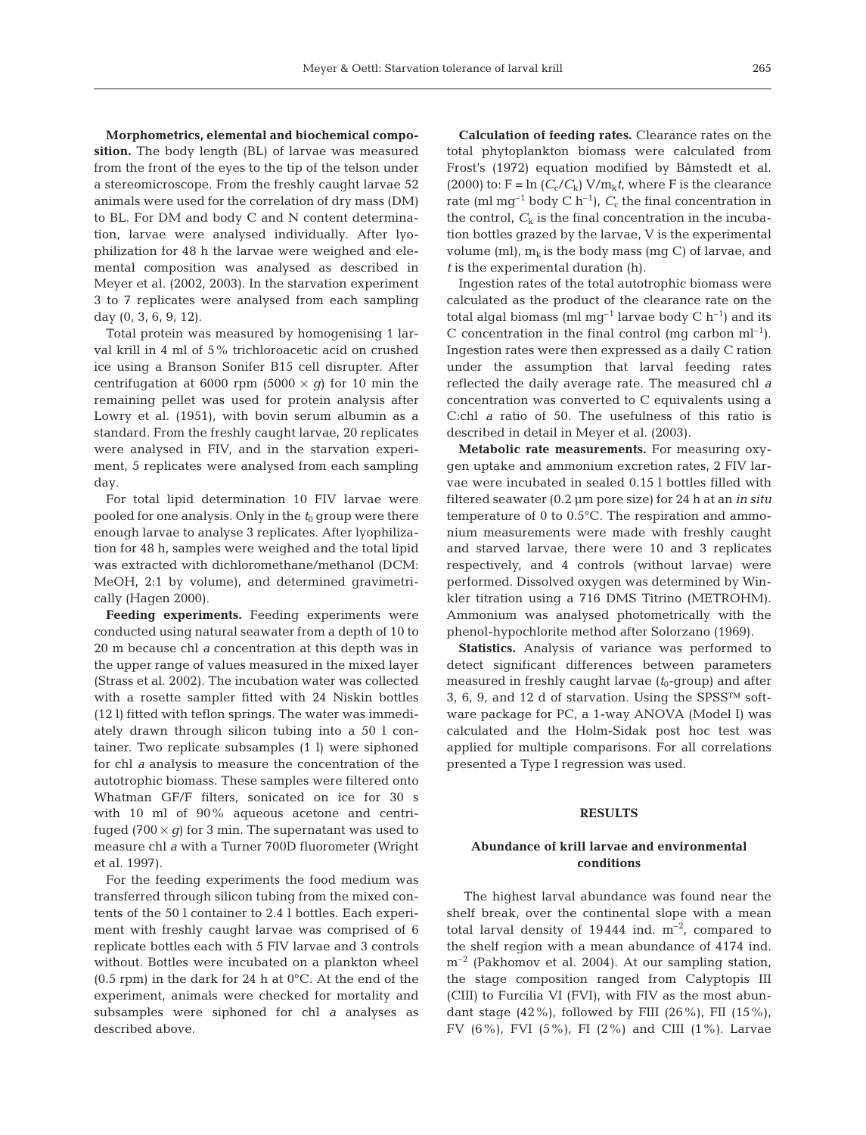**Morphometrics, elemental and biochemical composition.** The body length (BL) of larvae was measured from the front of the eyes to the tip of the telson under a stereomicroscope. From the freshly caught larvae 52 animals were used for the correlation of dry mass (DM) to BL. For DM and body C and N content determination, larvae were analysed individually. After lyophilization for 48 h the larvae were weighed and elemental composition was analysed as described in Meyer et al. (2002, 2003). In the starvation experiment 3 to 7 replicates were analysed from each sampling day (0, 3, 6, 9, 12).

Total protein was measured by homogenising 1 larval krill in 4 ml of 5% trichloroacetic acid on crushed ice using a Branson Sonifer B15 cell disrupter. After centrifugation at 6000 rpm (5000  $\times$  *g*) for 10 min the remaining pellet was used for protein analysis after Lowry et al. (1951), with bovin serum albumin as a standard. From the freshly caught larvae, 20 replicates were analysed in FIV, and in the starvation experiment, 5 replicates were analysed from each sampling day.

For total lipid determination 10 FIV larvae were pooled for one analysis. Only in the  $t_0$  group were there enough larvae to analyse 3 replicates. After lyophilization for 48 h, samples were weighed and the total lipid was extracted with dichloromethane/methanol (DCM: MeOH, 2:1 by volume), and determined gravimetrically (Hagen 2000).

**Feeding experiments.** Feeding experiments were conducted using natural seawater from a depth of 10 to 20 m because chl *a* concentration at this depth was in the upper range of values measured in the mixed layer (Strass et al. 2002). The incubation water was collected with a rosette sampler fitted with 24 Niskin bottles (12 l) fitted with teflon springs. The water was immediately drawn through silicon tubing into a 50 l container. Two replicate subsamples (1 l) were siphoned for chl *a* analysis to measure the concentration of the autotrophic biomass. These samples were filtered onto Whatman GF/F filters, sonicated on ice for 30 s with 10 ml of 90% aqueous acetone and centrifuged (700  $\times$  *g*) for 3 min. The supernatant was used to measure chl *a* with a Turner 700D fluorometer (Wright et al. 1997).

For the feeding experiments the food medium was transferred through silicon tubing from the mixed contents of the 50 l container to 2.4 l bottles. Each experiment with freshly caught larvae was comprised of 6 replicate bottles each with 5 FIV larvae and 3 controls without. Bottles were incubated on a plankton wheel (0.5 rpm) in the dark for 24 h at 0°C. At the end of the experiment, animals were checked for mortality and subsamples were siphoned for chl *a* analyses as described above.

**Calculation of feeding rates.** Clearance rates on the total phytoplankton biomass were calculated from Frost's (1972) equation modified by Båmstedt et al. (2000) to:  $F = \ln (C_c/C_k) V/m_k t$ , where F is the clearance rate (ml mg<sup>-1</sup> body C h<sup>-1</sup>),  $C_c$  the final concentration in the control,  $C_k$  is the final concentration in the incubation bottles grazed by the larvae, V is the experimental volume (ml),  $m_k$  is the body mass (mg C) of larvae, and *t* is the experimental duration (h).

Ingestion rates of the total autotrophic biomass were calculated as the product of the clearance rate on the total algal biomass (ml  $mg^{-1}$  larvae body C  $h^{-1}$ ) and its C concentration in the final control (mg carbon  $ml^{-1}$ ). Ingestion rates were then expressed as a daily C ration under the assumption that larval feeding rates reflected the daily average rate. The measured chl *a* concentration was converted to C equivalents using a C:chl *a* ratio of 50. The usefulness of this ratio is described in detail in Meyer et al. (2003).

**Metabolic rate measurements.** For measuring oxygen uptake and ammonium excretion rates, 2 FIV larvae were incubated in sealed 0.15 l bottles filled with filtered seawater (0.2 µm pore size) for 24 h at an *in situ* temperature of 0 to 0.5°C. The respiration and ammonium measurements were made with freshly caught and starved larvae, there were 10 and 3 replicates respectively, and 4 controls (without larvae) were performed. Dissolved oxygen was determined by Winkler titration using a 716 DMS Titrino (METROHM). Ammonium was analysed photometrically with the phenol-hypochlorite method after Solorzano (1969).

**Statistics.** Analysis of variance was performed to detect significant differences between parameters measured in freshly caught larvae  $(t_0$ -group) and after 3, 6, 9, and 12 d of starvation. Using the SPSS™ software package for PC, a 1-way ANOVA (Model I) was calculated and the Holm-Sidak post hoc test was applied for multiple comparisons. For all correlations presented a Type I regression was used.

# **RESULTS**

# **Abundance of krill larvae and environmental conditions**

The highest larval abundance was found near the shelf break, over the continental slope with a mean total larval density of  $19444$  ind.  $m^{-2}$ , compared to the shelf region with a mean abundance of 4174 ind.  $m^{-2}$  (Pakhomov et al. 2004). At our sampling station, the stage composition ranged from Calyptopis III (CIII) to Furcilia VI (FVI), with FIV as the most abundant stage  $(42\%)$ , followed by FIII  $(26\%)$ , FII  $(15\%)$ , FV (6%), FVI (5%), FI (2%) and CIII (1%). Larvae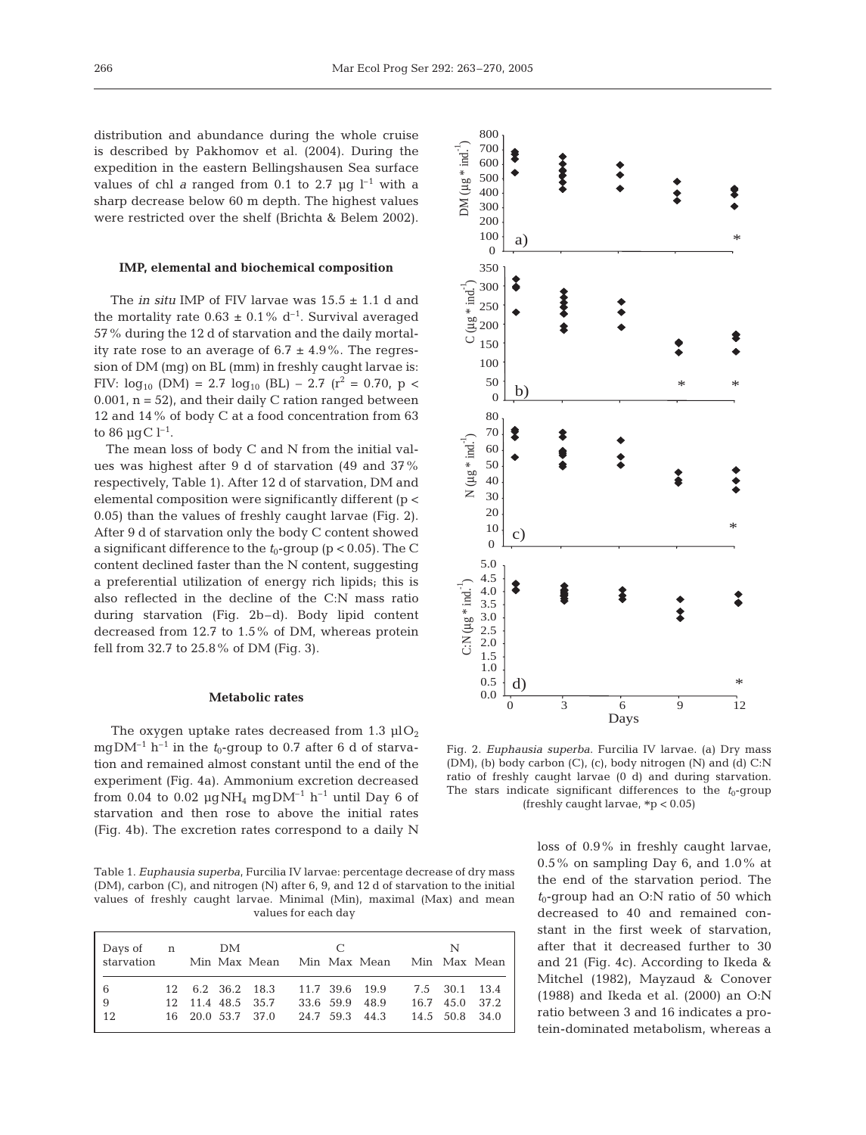distribution and abundance during the whole cruise is described by Pakhomov et al. (2004). During the expedition in the eastern Bellingshausen Sea surface values of chl *a* ranged from 0.1 to 2.7  $\mu$ g l<sup>-1</sup> with a sharp decrease below 60 m depth. The highest values were restricted over the shelf (Brichta & Belem 2002).

# **IMP, elemental and biochemical composition**

The *in situ* IMP of FIV larvae was  $15.5 \pm 1.1$  d and the mortality rate  $0.63 \pm 0.1\%$  d<sup>-1</sup>. Survival averaged 57% during the 12 d of starvation and the daily mortality rate rose to an average of  $6.7 \pm 4.9\%$ . The regression of DM (mg) on BL (mm) in freshly caught larvae is: FIV:  $log_{10}$  (DM) = 2.7  $log_{10}$  (BL) – 2.7 ( $r^2$  = 0.70, p <  $0.001$ ,  $n = 52$ ), and their daily C ration ranged between 12 and 14% of body C at a food concentration from 63 to 86  $\mu$ gC l<sup>-1</sup>.

The mean loss of body C and N from the initial values was highest after 9 d of starvation (49 and 37% respectively, Table 1). After 12 d of starvation, DM and elemental composition were significantly different (p < 0.05) than the values of freshly caught larvae (Fig. 2). After 9 d of starvation only the body C content showed a significant difference to the  $t_0$ -group ( $p < 0.05$ ). The C content declined faster than the N content, suggesting a preferential utilization of energy rich lipids; this is also reflected in the decline of the C:N mass ratio during starvation (Fig. 2b–d). Body lipid content decreased from 12.7 to 1.5% of DM, whereas protein fell from 32.7 to 25.8% of DM (Fig. 3).

### **Metabolic rates**

The oxygen uptake rates decreased from 1.3  $\mu$ lO<sub>2</sub> mgDM<sup>-1</sup> h<sup>-1</sup> in the  $t_0$ -group to 0.7 after 6 d of starvation and remained almost constant until the end of the experiment (Fig. 4a). Ammonium excretion decreased from 0.04 to 0.02  $\mu$ gNH<sub>4</sub> mgDM<sup>-1</sup> h<sup>-1</sup> until Day 6 of starvation and then rose to above the initial rates (Fig. 4b). The excretion rates correspond to a daily N

Table 1. *Euphausia superba*, Furcilia IV larvae: percentage decrease of dry mass (DM), carbon (C), and nitrogen (N) after 6, 9, and 12 d of starvation to the initial values of freshly caught larvae. Minimal (Min), maximal (Max) and mean values for each day

| Days of n<br>starvation               |  | DM |                                                            |                                  | $\overline{C}$ | Min Max Mean Min Max Mean Min Max Mean |                                  | N             |  |
|---------------------------------------|--|----|------------------------------------------------------------|----------------------------------|----------------|----------------------------------------|----------------------------------|---------------|--|
| 6<br>$\overline{9}$<br>$\frac{1}{12}$ |  |    | 12 6.2 36.2 18.3<br>12 11.4 48.5 35.7<br>16 20.0 53.7 37.0 | 33.6 59.9 48.9<br>24.7 59.3 44.3 |                | 11.7 39.6 19.9                         | 16.7 45.0 37.2<br>14.5 50.8 34.0 | 7.5 30.1 13.4 |  |



Fig. 2. *Euphausia superba*. Furcilia IV larvae. (a) Dry mass (DM), (b) body carbon (C), (c), body nitrogen (N) and (d) C:N ratio of freshly caught larvae (0 d) and during starvation. The stars indicate significant differences to the  $t_0$ -group (freshly caught larvae,  $*p < 0.05$ )

loss of 0.9% in freshly caught larvae, 0.5% on sampling Day 6, and 1.0% at the end of the starvation period. The  $t_0$ -group had an O:N ratio of 50 which decreased to 40 and remained constant in the first week of starvation, after that it decreased further to 30 and 21 (Fig. 4c). According to Ikeda & Mitchel (1982), Mayzaud & Conover (1988) and Ikeda et al. (2000) an O:N ratio between 3 and 16 indicates a protein-dominated metabolism, whereas a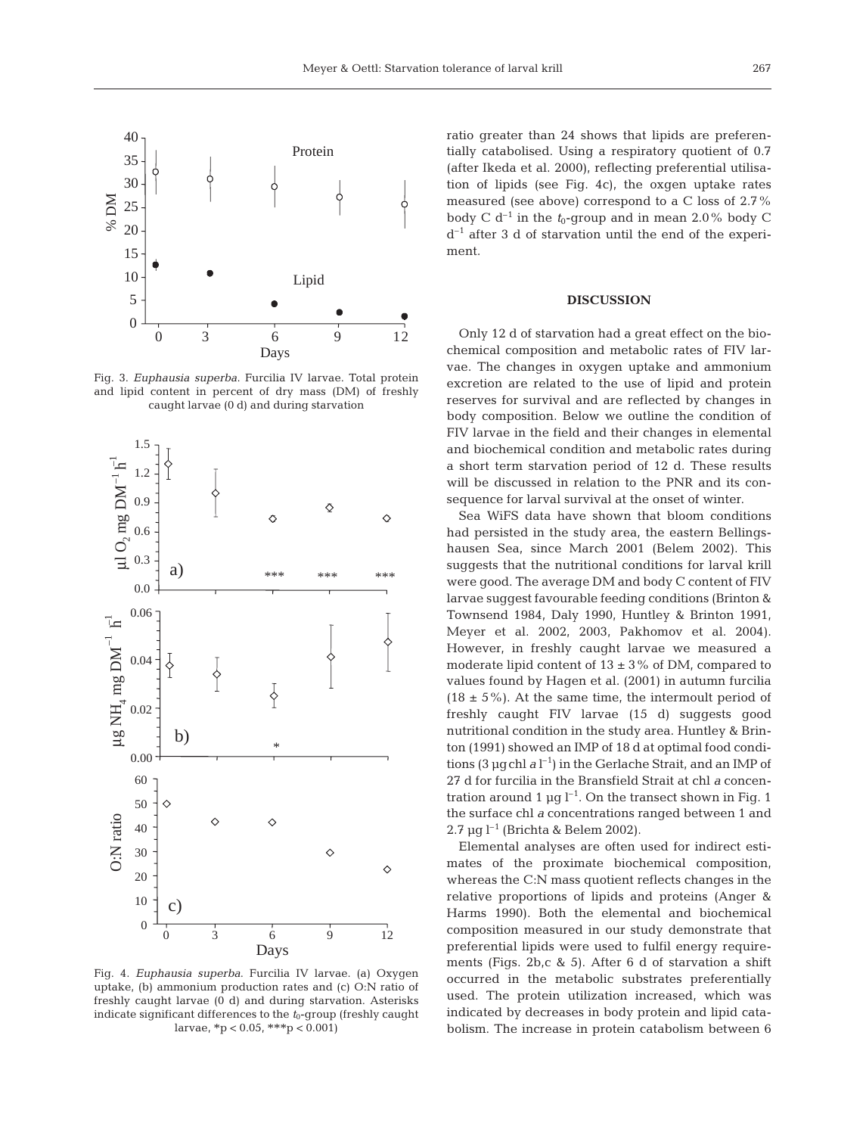

Fig. 3. *Euphausia superba*. Furcilia IV larvae. Total protein and lipid content in percent of dry mass (DM) of freshly caught larvae (0 d) and during starvation



Fig. 4. *Euphausia superba*. Furcilia IV larvae. (a) Oxygen uptake, (b) ammonium production rates and (c) O:N ratio of freshly caught larvae (0 d) and during starvation. Asterisks indicate significant differences to the  $t_0$ -group (freshly caught larvae, \*p < 0.05, \*\*\*p < 0.001)

ratio greater than 24 shows that lipids are preferentially catabolised. Using a respiratory quotient of 0.7 (after Ikeda et al. 2000), reflecting preferential utilisation of lipids (see Fig. 4c), the oxgen uptake rates measured (see above) correspond to a C loss of 2.7% body C  $d^{-1}$  in the  $t_0$ -group and in mean 2.0% body C  $d^{-1}$  after 3 d of starvation until the end of the experiment.

#### **DISCUSSION**

Only 12 d of starvation had a great effect on the biochemical composition and metabolic rates of FIV larvae. The changes in oxygen uptake and ammonium excretion are related to the use of lipid and protein reserves for survival and are reflected by changes in body composition. Below we outline the condition of FIV larvae in the field and their changes in elemental and biochemical condition and metabolic rates during a short term starvation period of 12 d. These results will be discussed in relation to the PNR and its consequence for larval survival at the onset of winter.

Sea WiFS data have shown that bloom conditions had persisted in the study area, the eastern Bellingshausen Sea, since March 2001 (Belem 2002). This suggests that the nutritional conditions for larval krill were good. The average DM and body C content of FIV larvae suggest favourable feeding conditions (Brinton & Townsend 1984, Daly 1990, Huntley & Brinton 1991, Meyer et al. 2002, 2003, Pakhomov et al. 2004). However, in freshly caught larvae we measured a moderate lipid content of  $13 \pm 3\%$  of DM, compared to values found by Hagen et al. (2001) in autumn furcilia  $(18 \pm 5\%)$ . At the same time, the intermoult period of freshly caught FIV larvae (15 d) suggests good nutritional condition in the study area. Huntley & Brinton (1991) showed an IMP of 18 d at optimal food conditions (3 µgchl *a* l –1) in the Gerlache Strait, and an IMP of 27 d for furcilia in the Bransfield Strait at chl *a* concentration around 1  $\mu$ g l<sup>-1</sup>. On the transect shown in Fig. 1 the surface chl *a* concentrations ranged between 1 and 2.7 µg  $l^{-1}$  (Brichta & Belem 2002).

Elemental analyses are often used for indirect estimates of the proximate biochemical composition, whereas the C:N mass quotient reflects changes in the relative proportions of lipids and proteins (Anger & Harms 1990). Both the elemental and biochemical composition measured in our study demonstrate that preferential lipids were used to fulfil energy requirements (Figs. 2b,c & 5). After 6 d of starvation a shift occurred in the metabolic substrates preferentially used. The protein utilization increased, which was indicated by decreases in body protein and lipid catabolism. The increase in protein catabolism between 6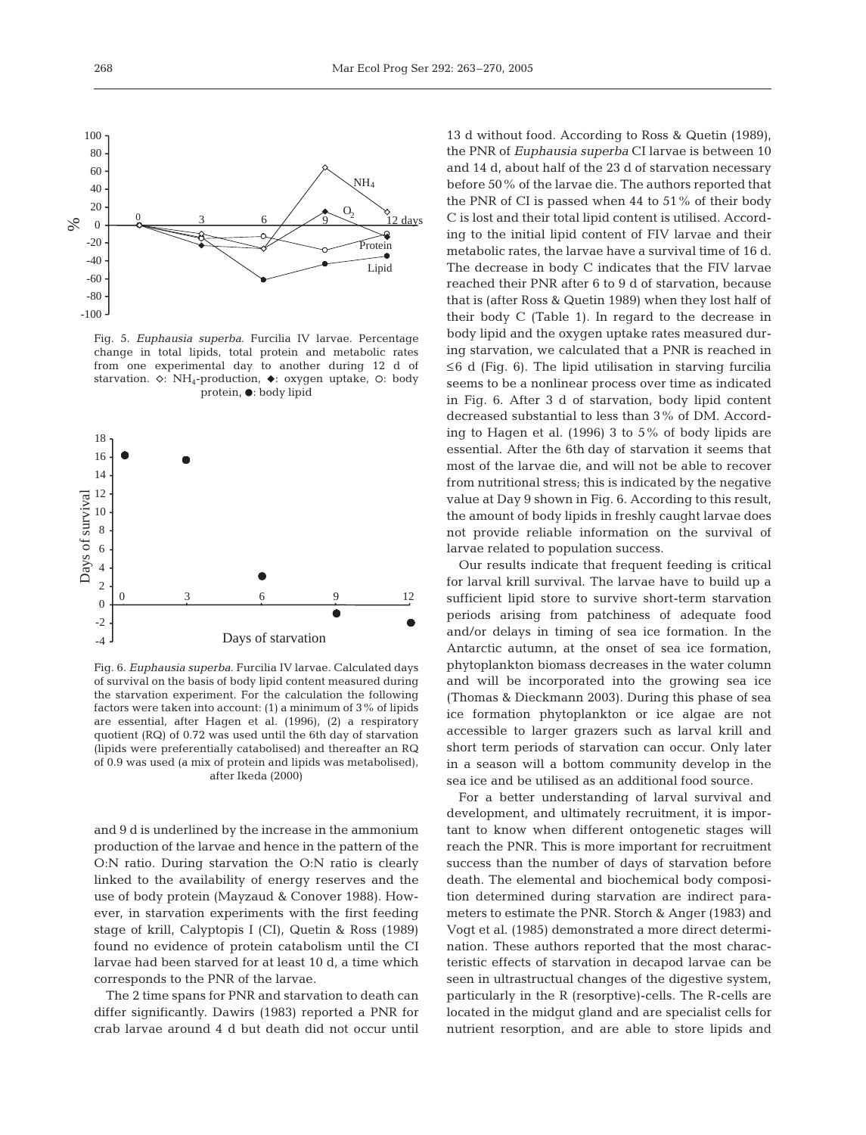

Fig. 5. *Euphausia superba*. Furcilia IV larvae. Percentage change in total lipids, total protein and metabolic rates from one experimental day to another during 12 d of starvation.  $\diamond$ : NH<sub>4</sub>-production,  $\blacklozenge$ : oxygen uptake,  $\circ$ : body protein,  $\bullet$ : body lipid



Fig. 6. *Euphausia superba*. Furcilia IV larvae. Calculated days of survival on the basis of body lipid content measured during the starvation experiment. For the calculation the following factors were taken into account: (1) a minimum of 3% of lipids are essential, after Hagen et al. (1996), (2) a respiratory quotient (RQ) of 0.72 was used until the 6th day of starvation (lipids were preferentially catabolised) and thereafter an RQ of 0.9 was used (a mix of protein and lipids was metabolised), after Ikeda (2000)

and 9 d is underlined by the increase in the ammonium production of the larvae and hence in the pattern of the O:N ratio. During starvation the O:N ratio is clearly linked to the availability of energy reserves and the use of body protein (Mayzaud & Conover 1988). However, in starvation experiments with the first feeding stage of krill, Calyptopis I (CI), Quetin & Ross (1989) found no evidence of protein catabolism until the CI larvae had been starved for at least 10 d, a time which corresponds to the PNR of the larvae.

The 2 time spans for PNR and starvation to death can differ significantly. Dawirs (1983) reported a PNR for crab larvae around 4 d but death did not occur until

13 d without food. According to Ross & Quetin (1989), the PNR of *Euphausia superba* CI larvae is between 10 and 14 d, about half of the 23 d of starvation necessary before 50% of the larvae die. The authors reported that the PNR of CI is passed when 44 to 51% of their body C is lost and their total lipid content is utilised. According to the initial lipid content of FIV larvae and their metabolic rates, the larvae have a survival time of 16 d. The decrease in body C indicates that the FIV larvae reached their PNR after 6 to 9 d of starvation, because that is (after Ross & Quetin 1989) when they lost half of their body C (Table 1). In regard to the decrease in body lipid and the oxygen uptake rates measured during starvation, we calculated that a PNR is reached in  $\leq 6$  d (Fig. 6). The lipid utilisation in starving furcilia seems to be a nonlinear process over time as indicated in Fig. 6. After 3 d of starvation, body lipid content decreased substantial to less than 3% of DM. According to Hagen et al. (1996) 3 to 5% of body lipids are essential. After the 6th day of starvation it seems that most of the larvae die, and will not be able to recover from nutritional stress; this is indicated by the negative value at Day 9 shown in Fig. 6. According to this result, the amount of body lipids in freshly caught larvae does not provide reliable information on the survival of larvae related to population success.

Our results indicate that frequent feeding is critical for larval krill survival. The larvae have to build up a sufficient lipid store to survive short-term starvation periods arising from patchiness of adequate food and/or delays in timing of sea ice formation. In the Antarctic autumn, at the onset of sea ice formation, phytoplankton biomass decreases in the water column and will be incorporated into the growing sea ice (Thomas & Dieckmann 2003). During this phase of sea ice formation phytoplankton or ice algae are not accessible to larger grazers such as larval krill and short term periods of starvation can occur. Only later in a season will a bottom community develop in the sea ice and be utilised as an additional food source.

For a better understanding of larval survival and development, and ultimately recruitment, it is important to know when different ontogenetic stages will reach the PNR. This is more important for recruitment success than the number of days of starvation before death. The elemental and biochemical body composition determined during starvation are indirect parameters to estimate the PNR. Storch & Anger (1983) and Vogt et al. (1985) demonstrated a more direct determination. These authors reported that the most characteristic effects of starvation in decapod larvae can be seen in ultrastructual changes of the digestive system, particularly in the R (resorptive)-cells. The R-cells are located in the midgut gland and are specialist cells for nutrient resorption, and are able to store lipids and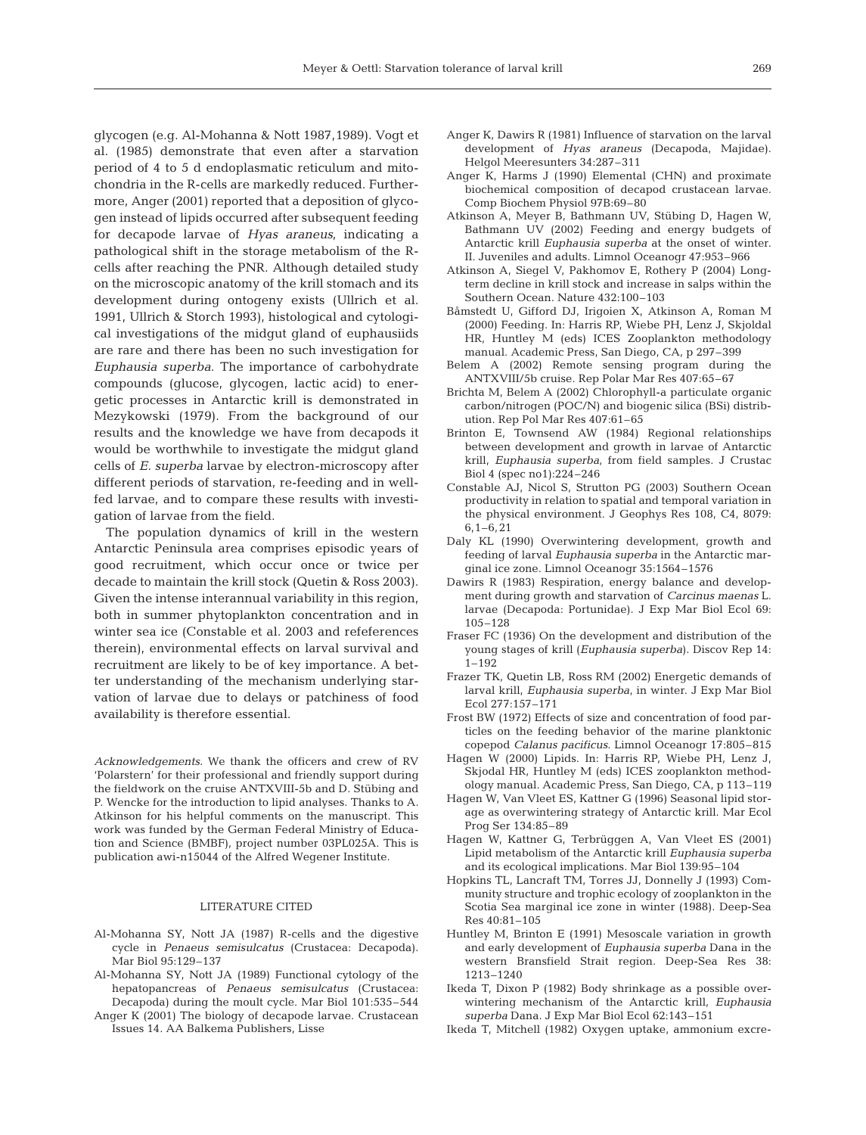glycogen (e.g. Al-Mohanna & Nott 1987,1989). Vogt et al. (1985) demonstrate that even after a starvation period of 4 to 5 d endoplasmatic reticulum and mitochondria in the R-cells are markedly reduced. Furthermore, Anger (2001) reported that a deposition of glycogen instead of lipids occurred after subsequent feeding for decapode larvae of *Hyas araneus*, indicating a pathological shift in the storage metabolism of the Rcells after reaching the PNR. Although detailed study on the microscopic anatomy of the krill stomach and its development during ontogeny exists (Ullrich et al. 1991, Ullrich & Storch 1993), histological and cytological investigations of the midgut gland of euphausiids are rare and there has been no such investigation for *Euphausia superba*. The importance of carbohydrate compounds (glucose, glycogen, lactic acid) to energetic processes in Antarctic krill is demonstrated in Mezykowski (1979). From the background of our results and the knowledge we have from decapods it would be worthwhile to investigate the midgut gland cells of *E. superba* larvae by electron-microscopy after different periods of starvation, re-feeding and in wellfed larvae, and to compare these results with investigation of larvae from the field.

The population dynamics of krill in the western Antarctic Peninsula area comprises episodic years of good recruitment, which occur once or twice per decade to maintain the krill stock (Quetin & Ross 2003). Given the intense interannual variability in this region, both in summer phytoplankton concentration and in winter sea ice (Constable et al. 2003 and refeferences therein), environmental effects on larval survival and recruitment are likely to be of key importance. A better understanding of the mechanism underlying starvation of larvae due to delays or patchiness of food availability is therefore essential.

*Acknowledgements.* We thank the officers and crew of RV 'Polarstern' for their professional and friendly support during the fieldwork on the cruise ANTXVIII-5b and D. Stübing and P. Wencke for the introduction to lipid analyses. Thanks to A. Atkinson for his helpful comments on the manuscript. This work was funded by the German Federal Ministry of Education and Science (BMBF), project number 03PL025A. This is publication awi-n15044 of the Alfred Wegener Institute.

#### LITERATURE CITED

- Al-Mohanna SY, Nott JA (1987) R-cells and the digestive cycle in *Penaeus semisulcatus* (Crustacea: Decapoda). Mar Biol 95:129–137
- Al-Mohanna SY, Nott JA (1989) Functional cytology of the hepatopancreas of *Penaeus semisulcatus* (Crustacea: Decapoda) during the moult cycle. Mar Biol 101:535–544
- Anger K (2001) The biology of decapode larvae. Crustacean Issues 14. AA Balkema Publishers, Lisse
- Anger K, Dawirs R (1981) Influence of starvation on the larval development of *Hyas araneus* (Decapoda, Majidae). Helgol Meeresunters 34:287–311
- Anger K, Harms J (1990) Elemental (CHN) and proximate biochemical composition of decapod crustacean larvae. Comp Biochem Physiol 97B:69–80
- Atkinson A, Meyer B, Bathmann UV, Stübing D, Hagen W, Bathmann UV (2002) Feeding and energy budgets of Antarctic krill *Euphausia superba* at the onset of winter. II. Juveniles and adults. Limnol Oceanogr 47:953–966
- Atkinson A, Siegel V, Pakhomov E, Rothery P (2004) Longterm decline in krill stock and increase in salps within the Southern Ocean. Nature 432:100–103
- Båmstedt U, Gifford DJ, Irigoien X, Atkinson A, Roman M (2000) Feeding. In: Harris RP, Wiebe PH, Lenz J, Skjoldal HR, Huntley M (eds) ICES Zooplankton methodology manual. Academic Press, San Diego, CA, p 297–399
- Belem A (2002) Remote sensing program during the ANTXVIII/5b cruise. Rep Polar Mar Res 407:65–67
- Brichta M, Belem A (2002) Chlorophyll-a particulate organic carbon/nitrogen (POC/N) and biogenic silica (BSi) distribution. Rep Pol Mar Res 407:61–65
- Brinton E, Townsend AW (1984) Regional relationships between development and growth in larvae of Antarctic krill, *Euphausia superba*, from field samples. J Crustac Biol 4 (spec no1):224–246
- Constable AJ, Nicol S, Strutton PG (2003) Southern Ocean productivity in relation to spatial and temporal variation in the physical environment. J Geophys Res 108, C4, 8079: 6,1–6,21
- Daly KL (1990) Overwintering development, growth and feeding of larval *Euphausia superba* in the Antarctic marginal ice zone. Limnol Oceanogr 35:1564–1576
- Dawirs R (1983) Respiration, energy balance and development during growth and starvation of *Carcinus maenas* L. larvae (Decapoda: Portunidae). J Exp Mar Biol Ecol 69: 105–128
- Fraser FC (1936) On the development and distribution of the young stages of krill (*Euphausia superba*). Discov Rep 14: 1–192
- Frazer TK, Quetin LB, Ross RM (2002) Energetic demands of larval krill, *Euphausia superba*, in winter. J Exp Mar Biol Ecol 277:157–171
- Frost BW (1972) Effects of size and concentration of food particles on the feeding behavior of the marine planktonic copepod *Calanus pacificus*. Limnol Oceanogr 17:805–815
- Hagen W (2000) Lipids. In: Harris RP, Wiebe PH, Lenz J, Skjodal HR, Huntley M (eds) ICES zooplankton methodology manual. Academic Press, San Diego, CA, p 113–119
- Hagen W, Van Vleet ES, Kattner G (1996) Seasonal lipid storage as overwintering strategy of Antarctic krill. Mar Ecol Prog Ser 134:85–89
- Hagen W, Kattner G, Terbrüggen A, Van Vleet ES (2001) Lipid metabolism of the Antarctic krill *Euphausia superba* and its ecological implications. Mar Biol 139:95–104
- Hopkins TL, Lancraft TM, Torres JJ, Donnelly J (1993) Community structure and trophic ecology of zooplankton in the Scotia Sea marginal ice zone in winter (1988). Deep-Sea Res 40:81–105
- Huntley M, Brinton E (1991) Mesoscale variation in growth and early development of *Euphausia superba* Dana in the western Bransfield Strait region. Deep-Sea Res 38: 1213–1240
- Ikeda T, Dixon P (1982) Body shrinkage as a possible overwintering mechanism of the Antarctic krill, *Euphausia superba* Dana. J Exp Mar Biol Ecol 62:143–151
- Ikeda T, Mitchell (1982) Oxygen uptake, ammonium excre-